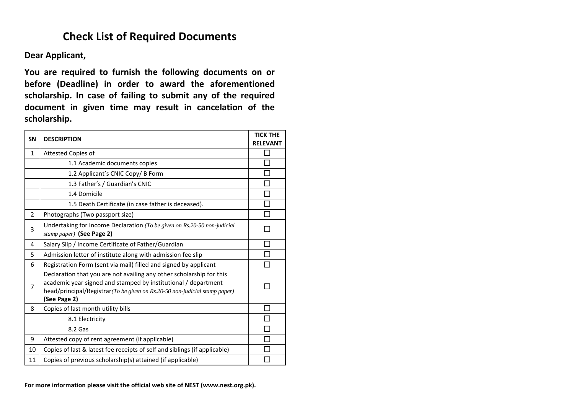# **Check List of Required Documents**

**Dear Applicant,**

**You are required to furnish the following documents on or before (Deadline) in order to award the aforementioned scholarship. In case of failing to submit any of the required document in given time may result in cancelation of the scholarship.**

| <b>SN</b>      | <b>DESCRIPTION</b>                                                                                                                                                                                                                   |  |  |  |  |  |
|----------------|--------------------------------------------------------------------------------------------------------------------------------------------------------------------------------------------------------------------------------------|--|--|--|--|--|
| $\mathbf{1}$   | Attested Copies of                                                                                                                                                                                                                   |  |  |  |  |  |
|                | 1.1 Academic documents copies                                                                                                                                                                                                        |  |  |  |  |  |
|                | 1.2 Applicant's CNIC Copy/ B Form                                                                                                                                                                                                    |  |  |  |  |  |
|                | 1.3 Father's / Guardian's CNIC                                                                                                                                                                                                       |  |  |  |  |  |
|                | 1.4 Domicile                                                                                                                                                                                                                         |  |  |  |  |  |
|                | 1.5 Death Certificate (in case father is deceased).                                                                                                                                                                                  |  |  |  |  |  |
| $\overline{2}$ | Photographs (Two passport size)                                                                                                                                                                                                      |  |  |  |  |  |
| 3              | Undertaking for Income Declaration (To be given on Rs.20-50 non-judicial<br>stamp paper) (See Page 2)                                                                                                                                |  |  |  |  |  |
| 4              | Salary Slip / Income Certificate of Father/Guardian                                                                                                                                                                                  |  |  |  |  |  |
| 5              | Admission letter of institute along with admission fee slip                                                                                                                                                                          |  |  |  |  |  |
| 6              | Registration Form (sent via mail) filled and signed by applicant                                                                                                                                                                     |  |  |  |  |  |
| 7              | Declaration that you are not availing any other scholarship for this<br>academic year signed and stamped by institutional / department<br>head/principal/Registrar(To be given on Rs.20-50 non-judicial stamp paper)<br>(See Page 2) |  |  |  |  |  |
| 8              | Copies of last month utility bills                                                                                                                                                                                                   |  |  |  |  |  |
|                | 8.1 Electricity                                                                                                                                                                                                                      |  |  |  |  |  |
|                | 8.2 Gas                                                                                                                                                                                                                              |  |  |  |  |  |
| 9              | Attested copy of rent agreement (if applicable)                                                                                                                                                                                      |  |  |  |  |  |
| 10             | Copies of last & latest fee receipts of self and siblings (if applicable)                                                                                                                                                            |  |  |  |  |  |
| 11             | Copies of previous scholarship(s) attained (if applicable)                                                                                                                                                                           |  |  |  |  |  |

**For more information please visit the official web site of NEST (www.nest.org.pk).**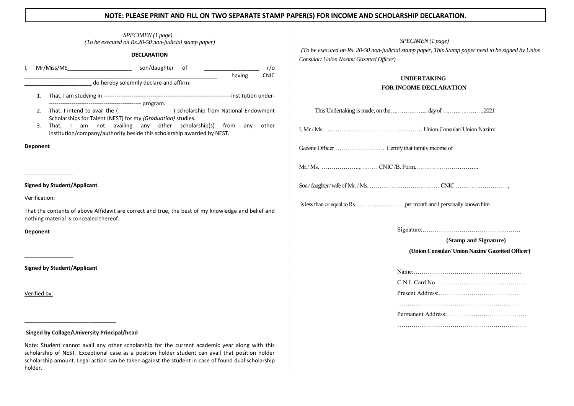### **NOTE: PLEASE PRINT AND FILL ON TWO SEPARATE STAMP PAPER(S) FOR INCOME AND SCHOLARSHIP DECLARATION.**

|                    |                 |                                                                                                                                              | SPECIMEN (1 page)<br>(To be executed on Rs.20-50 non-judicial stamp paper) |                                       |             |             |                                |
|--------------------|-----------------|----------------------------------------------------------------------------------------------------------------------------------------------|----------------------------------------------------------------------------|---------------------------------------|-------------|-------------|--------------------------------|
| <b>DECLARATION</b> |                 |                                                                                                                                              |                                                                            |                                       |             |             | $(To be$ exerci-<br>Consular/L |
| I,                 |                 | Mr/Miss/MS son/daughter of                                                                                                                   |                                                                            |                                       |             | r/o         |                                |
|                    |                 | do hereby solemnly declare and affirm:                                                                                                       |                                                                            |                                       | having      | <b>CNIC</b> |                                |
|                    | 1.              |                                                                                                                                              |                                                                            |                                       |             |             |                                |
|                    | 2.              | That, I intend to avail the (<br>Scholarships for Talent (NEST) for my {Graduation} studies.                                                 |                                                                            | ) scholarship from National Endowment |             |             | This                           |
|                    | 3.              | availing<br>That, I am not<br>institution/company/authority beside this scholarship awarded by NEST.                                         | any<br>other                                                               | scholarship(s)                        | from<br>any | other       | I, Mr./ Ms.                    |
|                    | <b>Deponent</b> |                                                                                                                                              |                                                                            |                                       |             |             | Gazette Offi                   |
|                    |                 |                                                                                                                                              |                                                                            |                                       |             |             | $Mr/Ms$                        |
|                    |                 | <b>Signed by Student/Applicant</b>                                                                                                           |                                                                            |                                       |             |             | Son/daughte                    |
|                    | Verification:   |                                                                                                                                              |                                                                            |                                       |             |             |                                |
|                    |                 | That the contents of above Affidavit are correct and true, the best of my knowledge and belief and<br>nothing material is concealed thereof. |                                                                            |                                       |             |             | is less than o                 |
|                    | <b>Deponent</b> |                                                                                                                                              |                                                                            |                                       |             |             |                                |
|                    |                 |                                                                                                                                              |                                                                            |                                       |             |             |                                |
|                    |                 | <b>Signed by Student/Applicant</b>                                                                                                           |                                                                            |                                       |             |             |                                |
|                    | Verified by:    |                                                                                                                                              |                                                                            |                                       |             |             |                                |
|                    |                 |                                                                                                                                              |                                                                            |                                       |             |             |                                |
|                    |                 | Singed by Collage/University Principal/head                                                                                                  |                                                                            |                                       |             |             |                                |
|                    |                 | Note: Student cannot avail any other scholarship for the current academic year along with this                                               |                                                                            |                                       |             |             |                                |

*SPECIMEN (1 page) (To be executed on Rs. 20-50 non-judicial stamp paper, This Stamp paper need to be signed by Union Consular/ Union Nazim/ Gazetted Officer)* 

## **UNDERTAKING FOR INCOME DECLARATION**

**(Stamp and Signature)** **(Union Consular/ Union Nazim/ Gazetted Officer)**

………………………………………………………

scholarship of NEST. Exceptional case as a position holder student can avail that position holder scholarship amount. Legal action can be taken against the student in case of found dual scholarship holder.